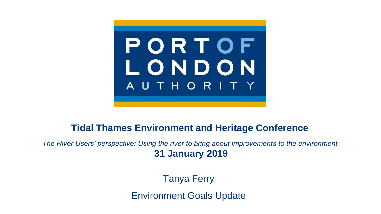

#### **Tidal Thames Environment and Heritage Conference**

*The River Users' perspective: Using the river to bring about improvements to the environment* **31 January 2019**

Tanya Ferry

Environment Goals Update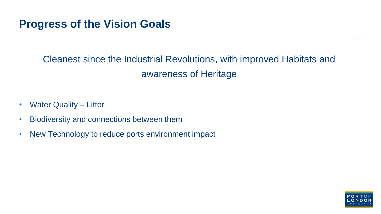#### **Progress of the Vision Goals**

#### Cleanest since the Industrial Revolutions, with improved Habitats and awareness of Heritage

- Water Quality Litter
- Biodiversity and connections between them
- New Technology to reduce ports environment impact

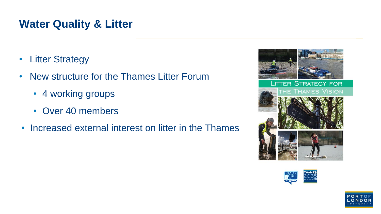#### **Water Quality & Litter**

- Litter Strategy
- New structure for the Thames Litter Forum
	- 4 working groups
	- Over 40 members
- Increased external interest on litter in the Thames







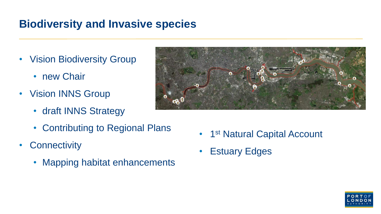### **Biodiversity and Invasive species**

- Vision Biodiversity Group
	- new Chair
- Vision INNS Group
	- draft INNS Strategy
	- Contributing to Regional Plans
- Connectivity
	- Mapping habitat enhancements



- 1<sup>st</sup> Natural Capital Account
- Estuary Edges

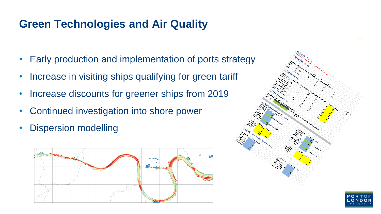#### **Green Technologies and Air Quality**

- Early production and implementation of ports strategy
- Increase in visiting ships qualifying for green tariff
- Increase discounts for greener ships from 2019
- Continued investigation into shore power
- **Dispersion modelling**



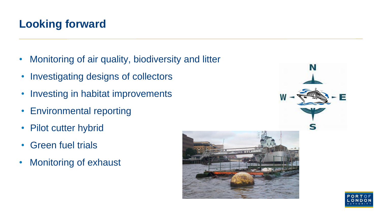## **Looking forward**

- Monitoring of air quality, biodiversity and litter
- Investigating designs of collectors
- Investing in habitat improvements
- Environmental reporting
- Pilot cutter hybrid
- Green fuel trials
- Monitoring of exhaust